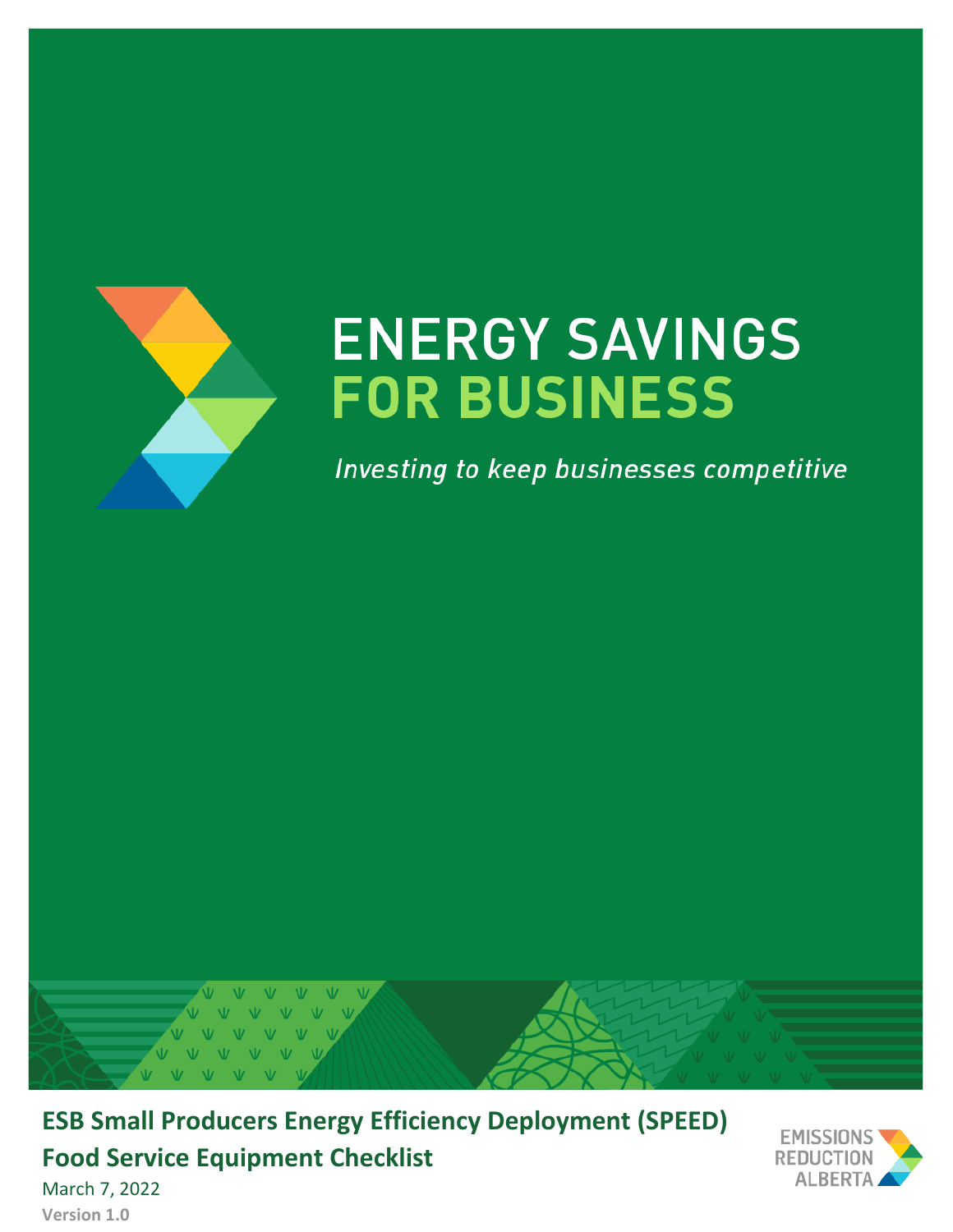

# **ENERGY SAVINGS FOR BUSINESS**

Investing to keep businesses competitive



**ESB Small Producers Energy Efficiency Deployment (SPEED) Food Service Equipment Checklist**



March 7, 2022 **Version 1.0**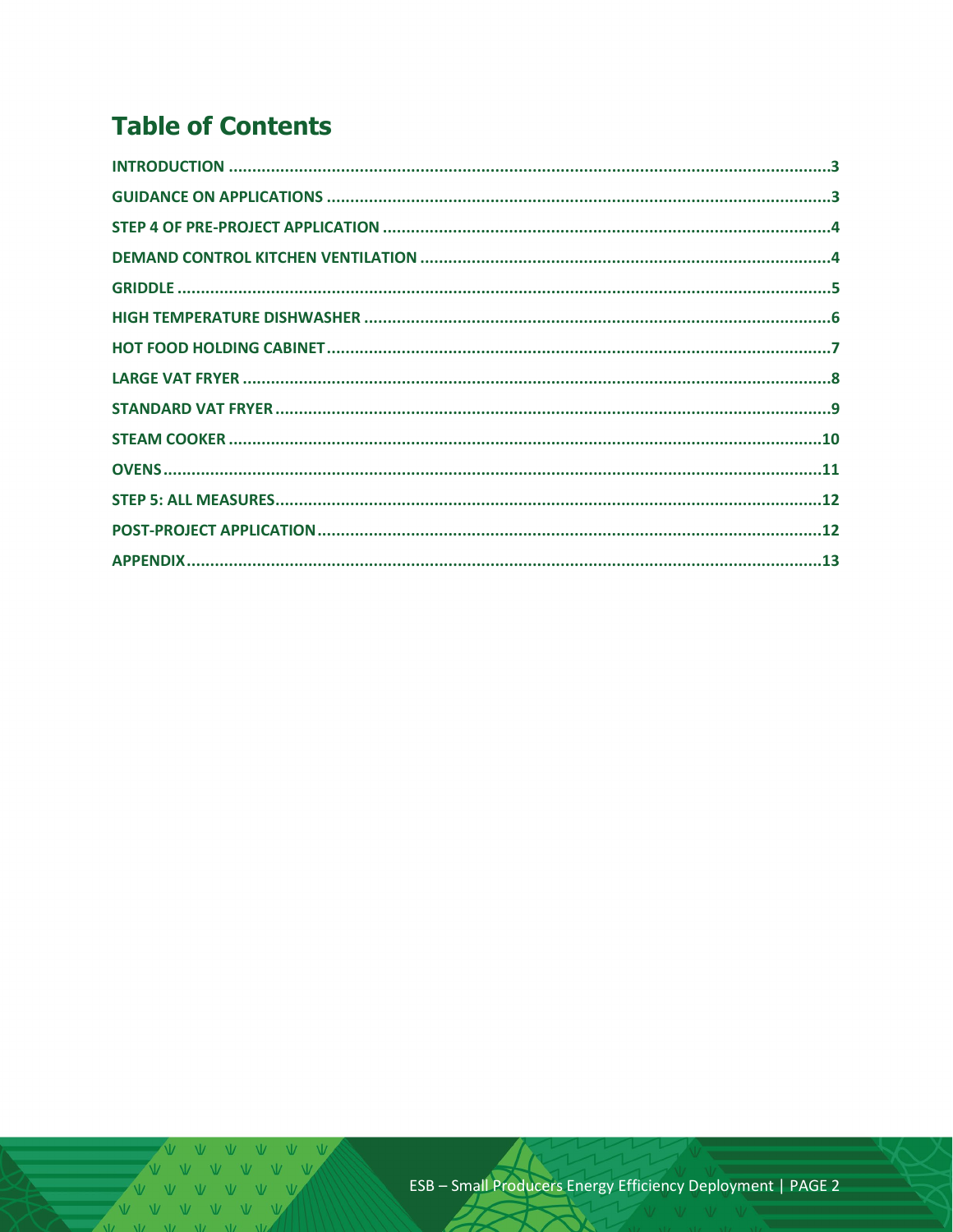## **Table of Contents**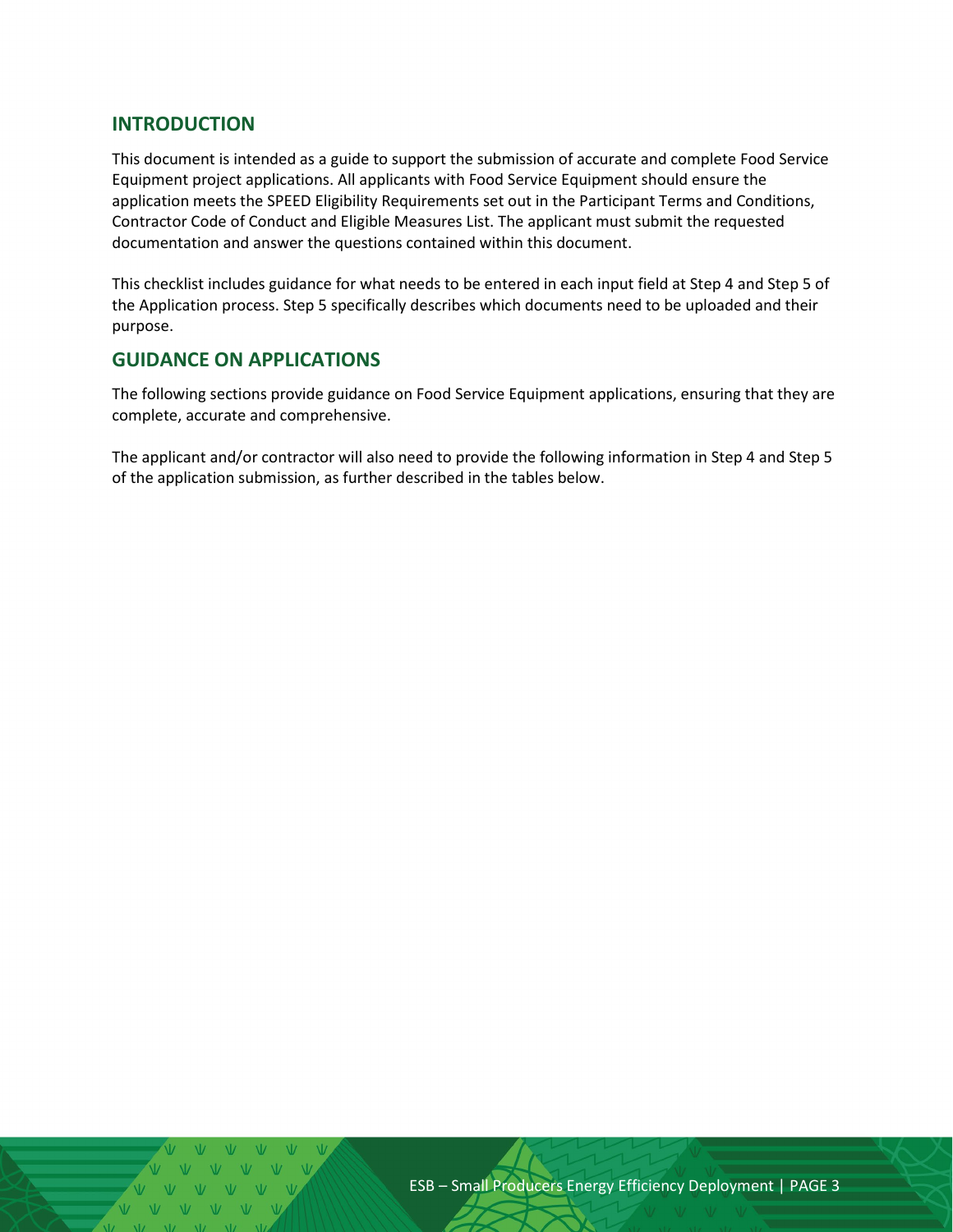#### <span id="page-2-0"></span>**INTRODUCTION**

This document is intended as a guide to support the submission of accurate and complete Food Service Equipment project applications. All applicants with Food Service Equipment should ensure the application meets the SPEED Eligibility Requirements set out in the Participant Terms and Conditions, Contractor Code of Conduct and Eligible Measures List. The applicant must submit the requested documentation and answer the questions contained within this document.

This checklist includes guidance for what needs to be entered in each input field at Step 4 and Step 5 of the Application process. Step 5 specifically describes which documents need to be uploaded and their purpose.

#### <span id="page-2-1"></span>**GUIDANCE ON APPLICATIONS**

The following sections provide guidance on Food Service Equipment applications, ensuring that they are complete, accurate and comprehensive.

The applicant and/or contractor will also need to provide the following information in Step 4 and Step 5 of the application submission, as further described in the tables below.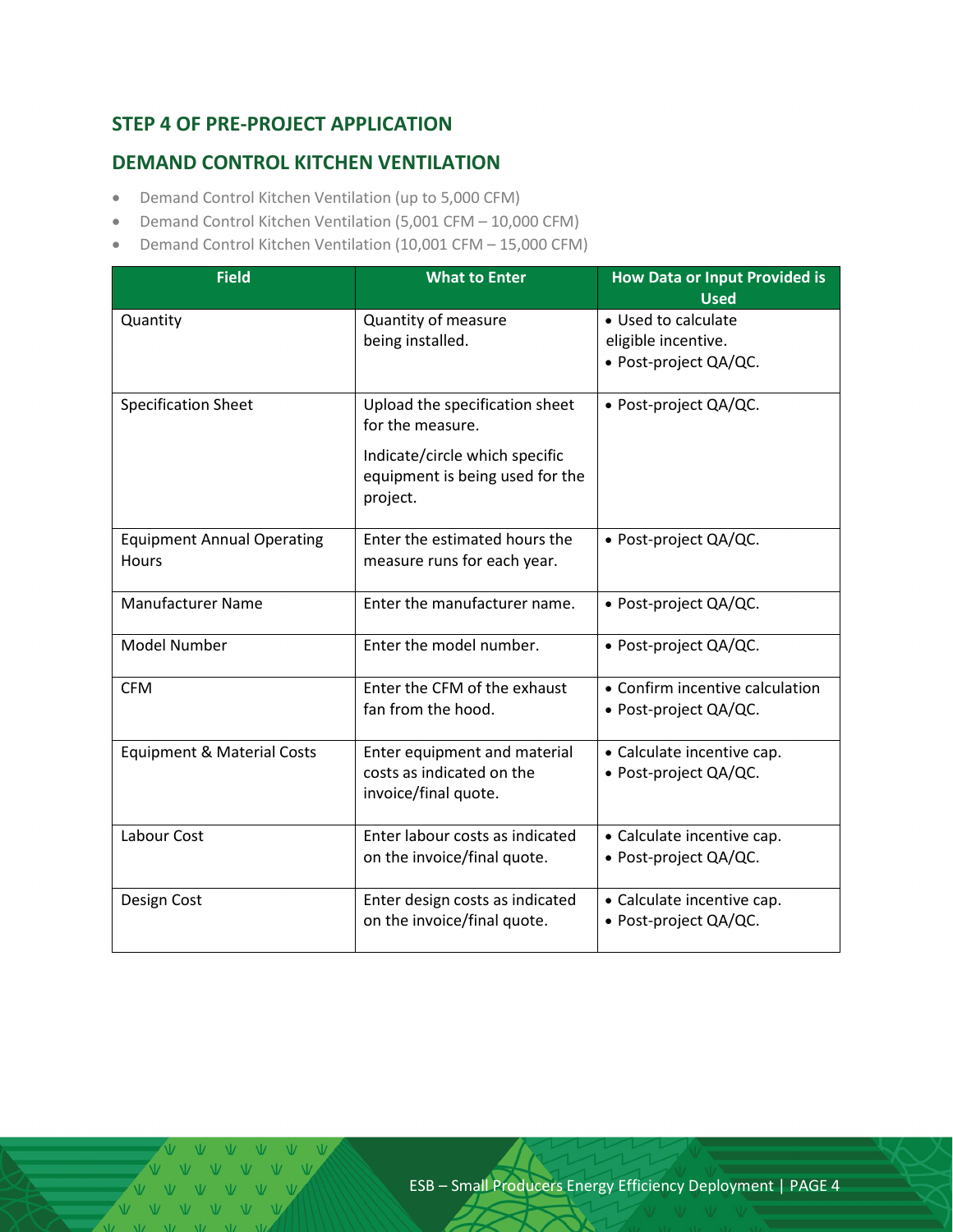## <span id="page-3-0"></span>**STEP 4 OF PRE-PROJECT APPLICATION**

## <span id="page-3-1"></span>**DEMAND CONTROL KITCHEN VENTILATION**

- Demand Control Kitchen Ventilation (up to 5,000 CFM)
- Demand Control Kitchen Ventilation (5,001 CFM 10,000 CFM)
- Demand Control Kitchen Ventilation (10,001 CFM 15,000 CFM)

| <b>Field</b>                                      | <b>What to Enter</b>                                                                                                                | <b>How Data or Input Provided is</b><br><b>Used</b>                 |
|---------------------------------------------------|-------------------------------------------------------------------------------------------------------------------------------------|---------------------------------------------------------------------|
| Quantity                                          | Quantity of measure<br>being installed.                                                                                             | • Used to calculate<br>eligible incentive.<br>· Post-project QA/QC. |
| <b>Specification Sheet</b>                        | Upload the specification sheet<br>for the measure.<br>Indicate/circle which specific<br>equipment is being used for the<br>project. | • Post-project QA/QC.                                               |
| <b>Equipment Annual Operating</b><br><b>Hours</b> | Enter the estimated hours the<br>measure runs for each year.                                                                        | • Post-project QA/QC.                                               |
| <b>Manufacturer Name</b>                          | Enter the manufacturer name.                                                                                                        | • Post-project QA/QC.                                               |
| <b>Model Number</b>                               | Enter the model number.                                                                                                             | • Post-project QA/QC.                                               |
| <b>CFM</b>                                        | Enter the CFM of the exhaust<br>fan from the hood.                                                                                  | • Confirm incentive calculation<br>• Post-project QA/QC.            |
| <b>Equipment &amp; Material Costs</b>             | Enter equipment and material<br>costs as indicated on the<br>invoice/final quote.                                                   | • Calculate incentive cap.<br>• Post-project QA/QC.                 |
| Labour Cost                                       | Enter labour costs as indicated<br>on the invoice/final quote.                                                                      | • Calculate incentive cap.<br>• Post-project QA/QC.                 |
| Design Cost                                       | Enter design costs as indicated<br>on the invoice/final quote.                                                                      | • Calculate incentive cap.<br>• Post-project QA/QC.                 |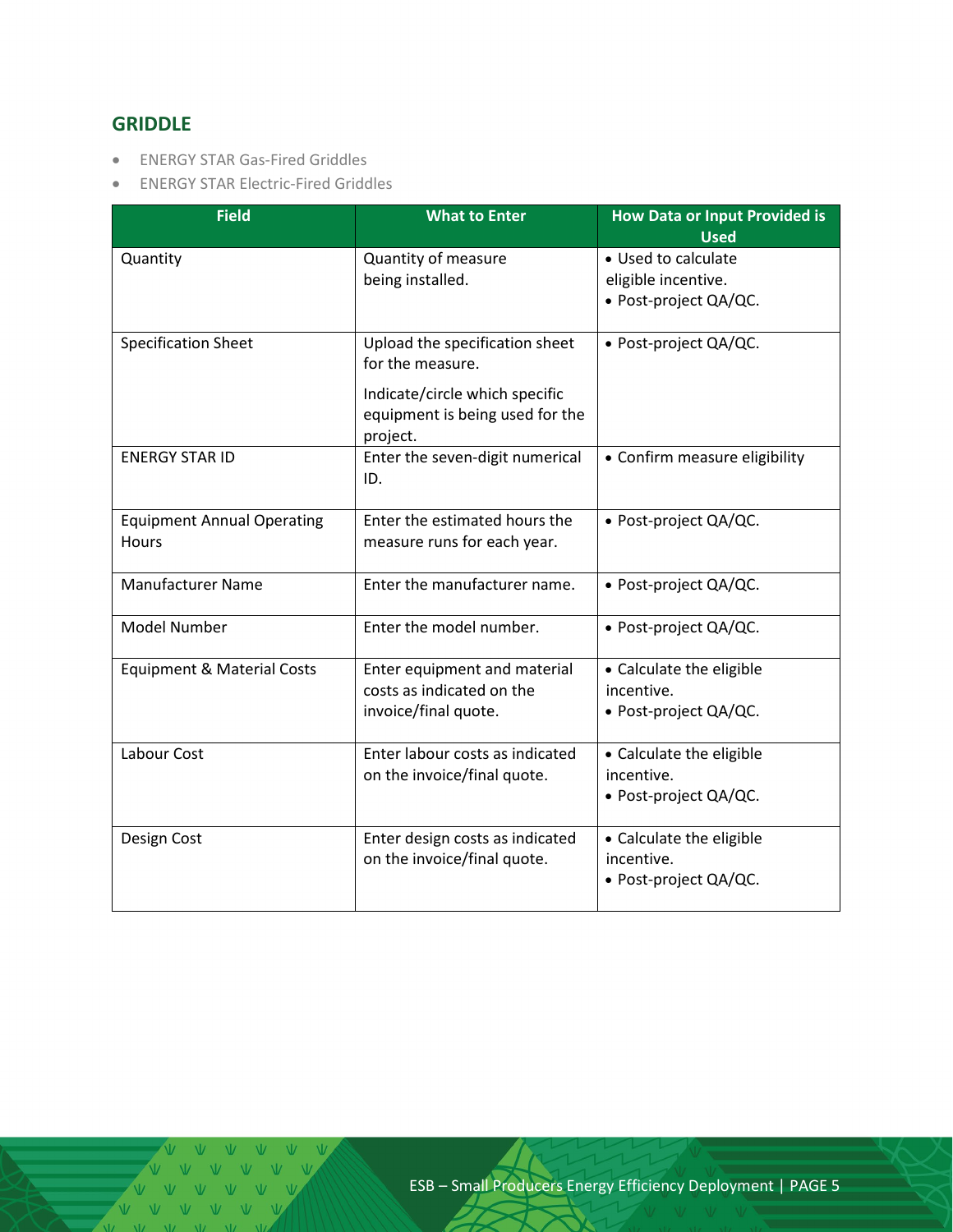## <span id="page-4-0"></span>**GRIDDLE**

- ENERGY STAR Gas-Fired Griddles
- ENERGY STAR Electric-Fired Griddles

| <b>Field</b>                                      | <b>What to Enter</b>                                                                                                                | <b>How Data or Input Provided is</b><br><b>Used</b>                 |
|---------------------------------------------------|-------------------------------------------------------------------------------------------------------------------------------------|---------------------------------------------------------------------|
| Quantity                                          | Quantity of measure<br>being installed.                                                                                             | • Used to calculate<br>eligible incentive.<br>· Post-project QA/QC. |
| <b>Specification Sheet</b>                        | Upload the specification sheet<br>for the measure.<br>Indicate/circle which specific<br>equipment is being used for the<br>project. | • Post-project QA/QC.                                               |
| <b>ENERGY STAR ID</b>                             | Enter the seven-digit numerical<br>ID.                                                                                              | • Confirm measure eligibility                                       |
| <b>Equipment Annual Operating</b><br><b>Hours</b> | Enter the estimated hours the<br>measure runs for each year.                                                                        | • Post-project QA/QC.                                               |
| <b>Manufacturer Name</b>                          | Enter the manufacturer name.                                                                                                        | • Post-project QA/QC.                                               |
| <b>Model Number</b>                               | Enter the model number.                                                                                                             | • Post-project QA/QC.                                               |
| <b>Equipment &amp; Material Costs</b>             | Enter equipment and material<br>costs as indicated on the<br>invoice/final quote.                                                   | • Calculate the eligible<br>incentive.<br>• Post-project QA/QC.     |
| Labour Cost                                       | Enter labour costs as indicated<br>on the invoice/final quote.                                                                      | • Calculate the eligible<br>incentive.<br>• Post-project QA/QC.     |
| Design Cost                                       | Enter design costs as indicated<br>on the invoice/final quote.                                                                      | • Calculate the eligible<br>incentive.<br>· Post-project QA/QC.     |

V V V V V V V V V V V V  $\begin{array}{ccccccccccccccccc} \mathsf{V} & \mathsf{V} & \mathsf{V} & \mathsf{V} & \mathsf{V} & \mathsf{V} \end{array}$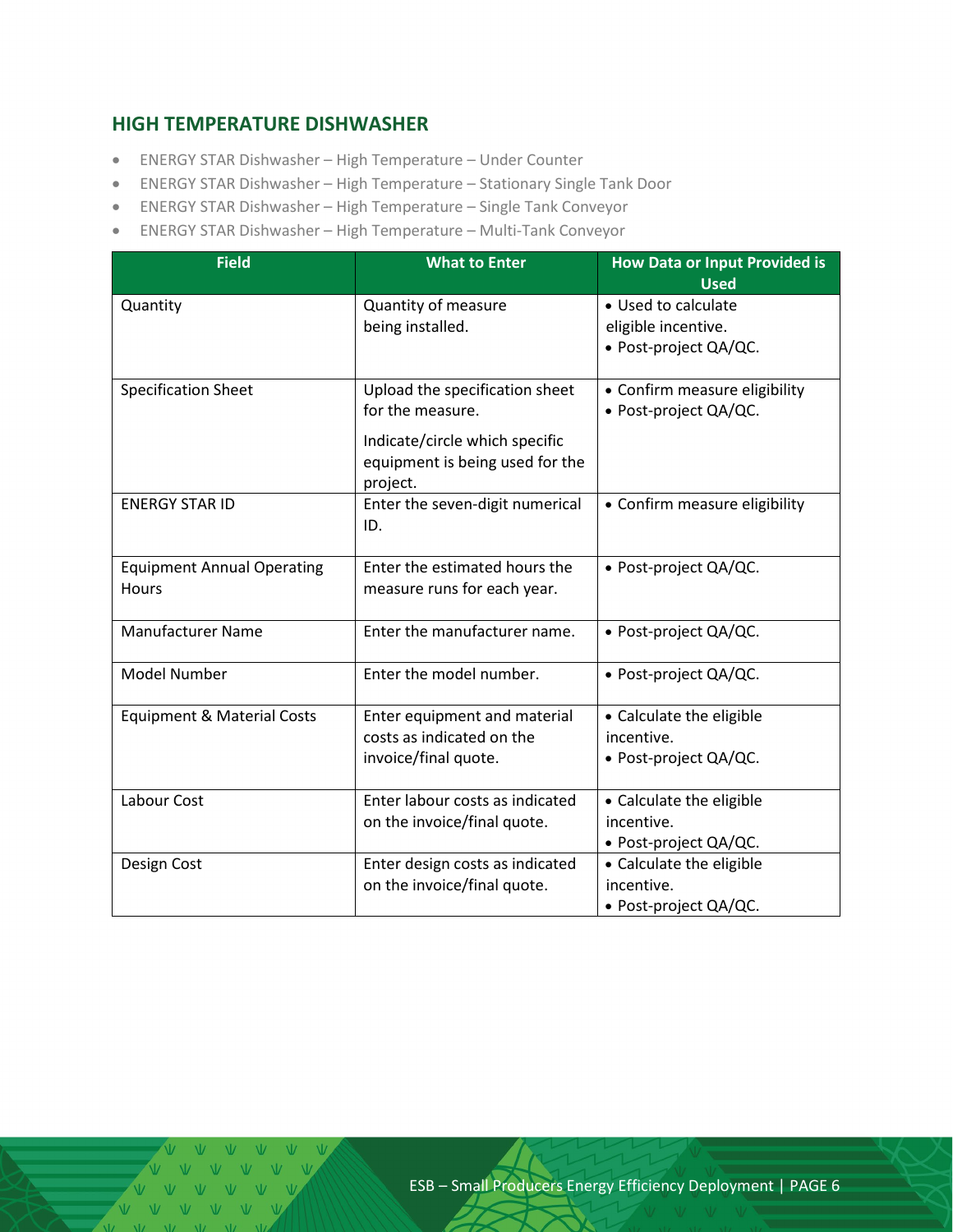#### <span id="page-5-0"></span>**HIGH TEMPERATURE DISHWASHER**

- ENERGY STAR Dishwasher High Temperature Under Counter
- ENERGY STAR Dishwasher High Temperature Stationary Single Tank Door
- ENERGY STAR Dishwasher High Temperature Single Tank Conveyor
- ENERGY STAR Dishwasher High Temperature Multi-Tank Conveyor

| <b>Field</b>                                      | <b>What to Enter</b>                                                                                                                | <b>How Data or Input Provided is</b><br><b>Used</b>                 |  |
|---------------------------------------------------|-------------------------------------------------------------------------------------------------------------------------------------|---------------------------------------------------------------------|--|
| Quantity                                          | Quantity of measure<br>being installed.                                                                                             | • Used to calculate<br>eligible incentive.<br>· Post-project QA/QC. |  |
| <b>Specification Sheet</b>                        | Upload the specification sheet<br>for the measure.<br>Indicate/circle which specific<br>equipment is being used for the<br>project. | • Confirm measure eligibility<br>· Post-project QA/QC.              |  |
| <b>ENERGY STAR ID</b>                             | Enter the seven-digit numerical<br>ID.                                                                                              | • Confirm measure eligibility                                       |  |
| <b>Equipment Annual Operating</b><br><b>Hours</b> | Enter the estimated hours the<br>measure runs for each year.                                                                        | • Post-project QA/QC.                                               |  |
| <b>Manufacturer Name</b>                          | Enter the manufacturer name.                                                                                                        | • Post-project QA/QC.                                               |  |
| <b>Model Number</b>                               | Enter the model number.                                                                                                             | • Post-project QA/QC.                                               |  |
| <b>Equipment &amp; Material Costs</b>             | Enter equipment and material<br>costs as indicated on the<br>invoice/final quote.                                                   | • Calculate the eligible<br>incentive.<br>• Post-project QA/QC.     |  |
| Labour Cost                                       | Enter labour costs as indicated<br>on the invoice/final quote.                                                                      | • Calculate the eligible<br>incentive.<br>• Post-project QA/QC.     |  |
| Design Cost                                       | Enter design costs as indicated<br>on the invoice/final quote.                                                                      | • Calculate the eligible<br>incentive.<br>• Post-project QA/QC.     |  |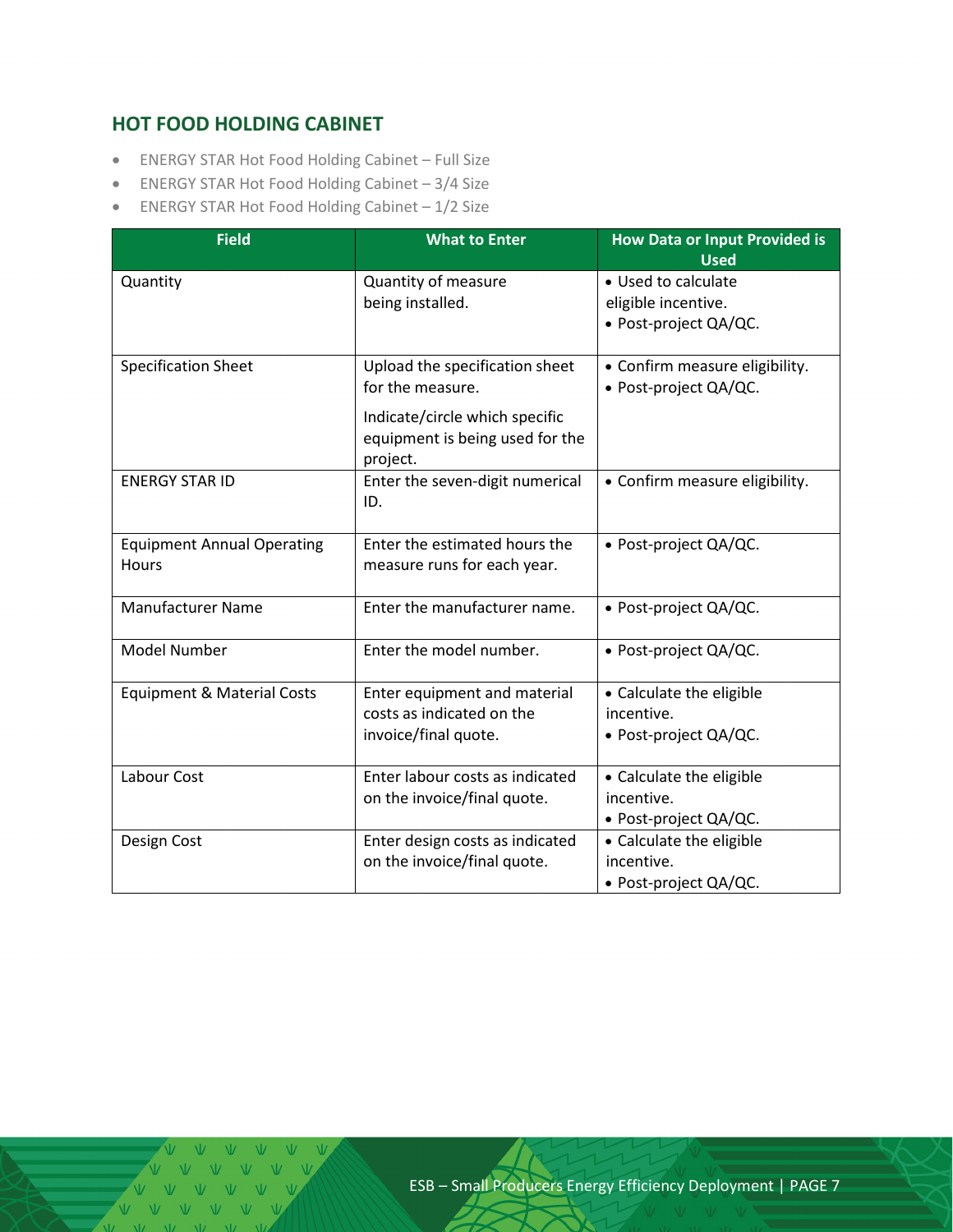## <span id="page-6-0"></span>**HOT FOOD HOLDING CABINET**

- ENERGY STAR Hot Food Holding Cabinet Full Size
- ENERGY STAR Hot Food Holding Cabinet 3/4 Size
- ENERGY STAR Hot Food Holding Cabinet 1/2 Size

| <b>Field</b>                               | <b>What to Enter</b>                                                                                                                | <b>How Data or Input Provided is</b><br><b>Used</b>                 |
|--------------------------------------------|-------------------------------------------------------------------------------------------------------------------------------------|---------------------------------------------------------------------|
| Quantity                                   | Quantity of measure<br>being installed.                                                                                             | • Used to calculate<br>eligible incentive.<br>· Post-project QA/QC. |
| <b>Specification Sheet</b>                 | Upload the specification sheet<br>for the measure.<br>Indicate/circle which specific<br>equipment is being used for the<br>project. | • Confirm measure eligibility.<br>· Post-project QA/QC.             |
| <b>ENERGY STAR ID</b>                      | Enter the seven-digit numerical<br>ID.                                                                                              | • Confirm measure eligibility.                                      |
| <b>Equipment Annual Operating</b><br>Hours | Enter the estimated hours the<br>measure runs for each year.                                                                        | • Post-project QA/QC.                                               |
| <b>Manufacturer Name</b>                   | Enter the manufacturer name.                                                                                                        | • Post-project QA/QC.                                               |
| <b>Model Number</b>                        | Enter the model number.                                                                                                             | · Post-project QA/QC.                                               |
| <b>Equipment &amp; Material Costs</b>      | Enter equipment and material<br>costs as indicated on the<br>invoice/final quote.                                                   | • Calculate the eligible<br>incentive.<br>• Post-project QA/QC.     |
| Labour Cost                                | Enter labour costs as indicated<br>on the invoice/final quote.                                                                      | • Calculate the eligible<br>incentive.<br>• Post-project QA/QC.     |
| Design Cost                                | Enter design costs as indicated<br>on the invoice/final quote.                                                                      | • Calculate the eligible<br>incentive.<br>• Post-project QA/QC.     |

VVV VV  $V = V - V$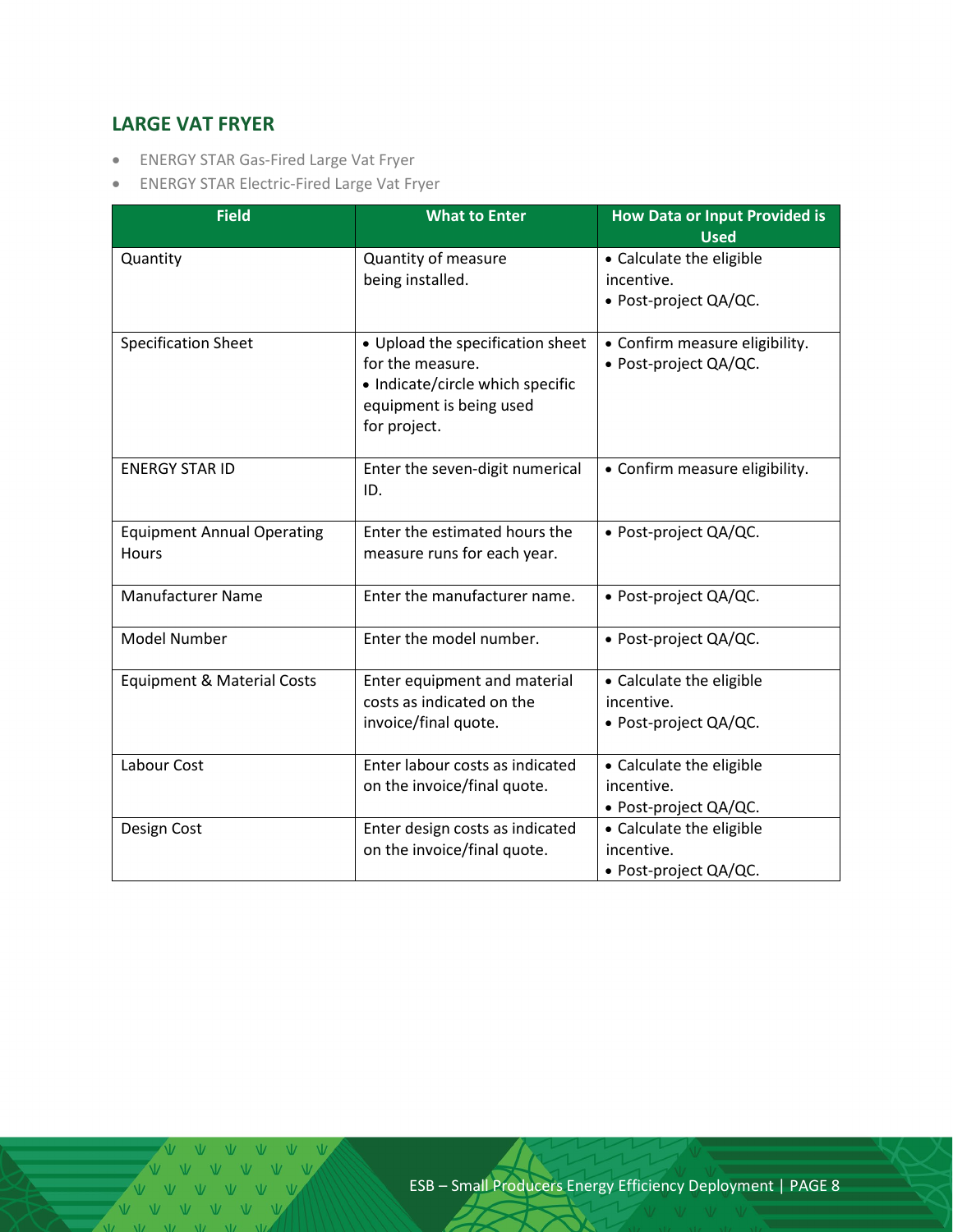## <span id="page-7-0"></span>**LARGE VAT FRYER**

- ENERGY STAR Gas-Fired Large Vat Fryer
- ENERGY STAR Electric-Fired Large Vat Fryer

| <b>Field</b>                               | <b>What to Enter</b>                                                                                                                | <b>How Data or Input Provided is</b><br><b>Used</b>             |
|--------------------------------------------|-------------------------------------------------------------------------------------------------------------------------------------|-----------------------------------------------------------------|
| Quantity                                   | Quantity of measure<br>being installed.                                                                                             | • Calculate the eligible<br>incentive.<br>• Post-project QA/QC. |
| <b>Specification Sheet</b>                 | • Upload the specification sheet<br>for the measure.<br>• Indicate/circle which specific<br>equipment is being used<br>for project. | • Confirm measure eligibility.<br>· Post-project QA/QC.         |
| <b>ENERGY STAR ID</b>                      | Enter the seven-digit numerical<br>ID.                                                                                              | • Confirm measure eligibility.                                  |
| <b>Equipment Annual Operating</b><br>Hours | Enter the estimated hours the<br>measure runs for each year.                                                                        | • Post-project QA/QC.                                           |
| <b>Manufacturer Name</b>                   | Enter the manufacturer name.                                                                                                        | • Post-project QA/QC.                                           |
| <b>Model Number</b>                        | Enter the model number.                                                                                                             | · Post-project QA/QC.                                           |
| <b>Equipment &amp; Material Costs</b>      | Enter equipment and material<br>costs as indicated on the<br>invoice/final quote.                                                   | • Calculate the eligible<br>incentive.<br>• Post-project QA/QC. |
| Labour Cost                                | Enter labour costs as indicated<br>on the invoice/final quote.                                                                      | • Calculate the eligible<br>incentive.<br>• Post-project QA/QC. |
| Design Cost                                | Enter design costs as indicated<br>on the invoice/final quote.                                                                      | • Calculate the eligible<br>incentive.<br>· Post-project QA/QC. |

V V V V V V V V V V V V  $V$   $V$   $V$   $V$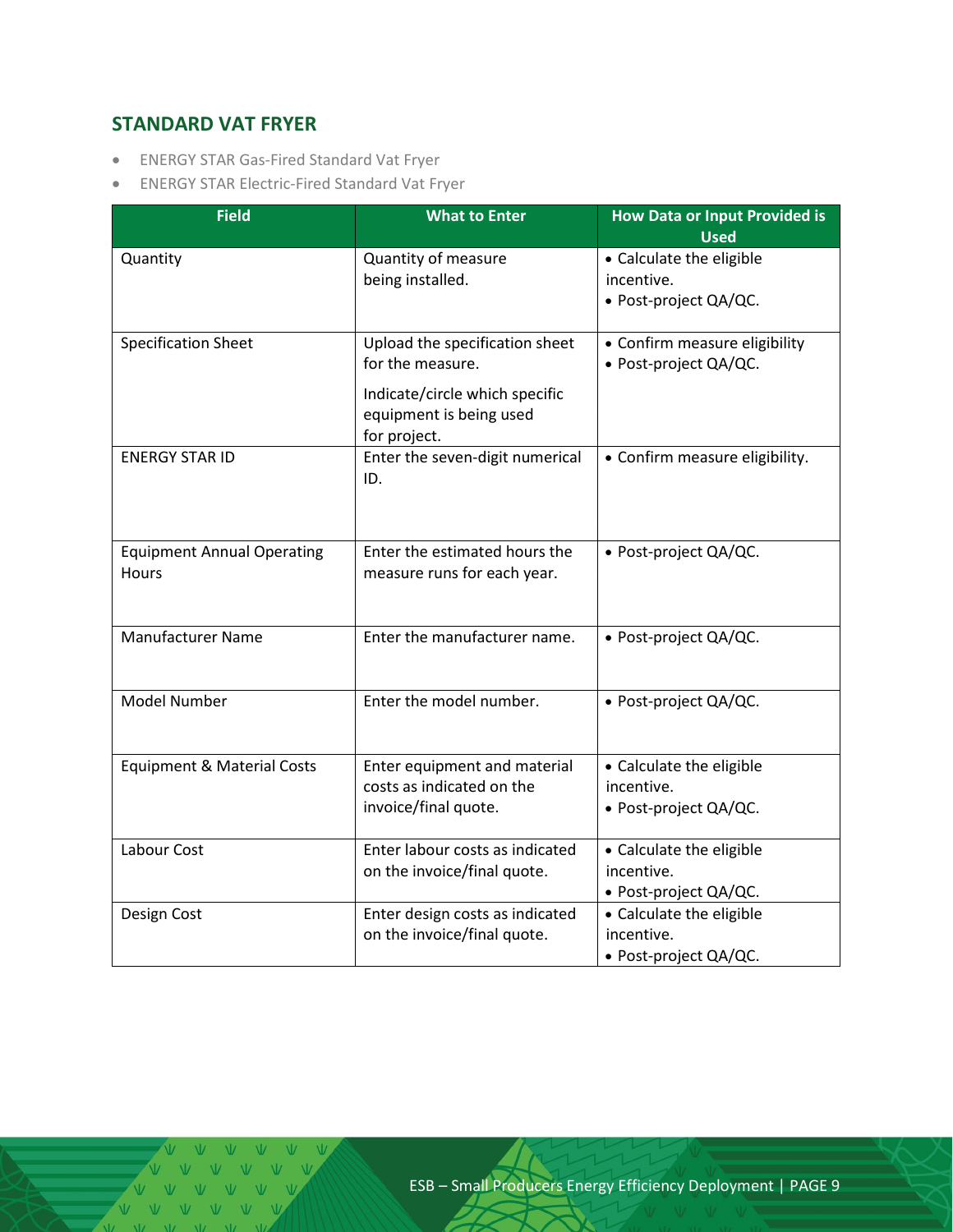## <span id="page-8-0"></span>**STANDARD VAT FRYER**

- ENERGY STAR Gas-Fired Standard Vat Fryer
- ENERGY STAR Electric-Fired Standard Vat Fryer

| <b>Field</b>                          | <b>What to Enter</b>                                                      | <b>How Data or Input Provided is</b><br><b>Used</b> |  |
|---------------------------------------|---------------------------------------------------------------------------|-----------------------------------------------------|--|
| Quantity                              | Quantity of measure                                                       | • Calculate the eligible                            |  |
|                                       | being installed.                                                          | incentive.                                          |  |
|                                       |                                                                           | · Post-project QA/QC.                               |  |
| <b>Specification Sheet</b>            | Upload the specification sheet                                            | • Confirm measure eligibility                       |  |
|                                       | for the measure.                                                          | · Post-project QA/QC.                               |  |
|                                       | Indicate/circle which specific<br>equipment is being used<br>for project. |                                                     |  |
| <b>ENERGY STAR ID</b>                 | Enter the seven-digit numerical                                           | • Confirm measure eligibility.                      |  |
|                                       | ID.                                                                       |                                                     |  |
|                                       |                                                                           |                                                     |  |
| <b>Equipment Annual Operating</b>     | Enter the estimated hours the                                             | • Post-project QA/QC.                               |  |
| Hours                                 | measure runs for each year.                                               |                                                     |  |
|                                       |                                                                           |                                                     |  |
| <b>Manufacturer Name</b>              | Enter the manufacturer name.                                              | · Post-project QA/QC.                               |  |
|                                       |                                                                           |                                                     |  |
| <b>Model Number</b>                   | Enter the model number.                                                   | • Post-project QA/QC.                               |  |
|                                       |                                                                           |                                                     |  |
| <b>Equipment &amp; Material Costs</b> | Enter equipment and material                                              | • Calculate the eligible                            |  |
|                                       | costs as indicated on the                                                 | incentive.                                          |  |
|                                       | invoice/final quote.                                                      | • Post-project QA/QC.                               |  |
| Labour Cost                           | Enter labour costs as indicated                                           | • Calculate the eligible                            |  |
|                                       | on the invoice/final quote.                                               | incentive.                                          |  |
|                                       |                                                                           | · Post-project QA/QC.                               |  |
| Design Cost                           | Enter design costs as indicated                                           | • Calculate the eligible                            |  |
|                                       | on the invoice/final quote.                                               | incentive.                                          |  |
|                                       |                                                                           | · Post-project QA/QC.                               |  |

V V V V V V V V V V V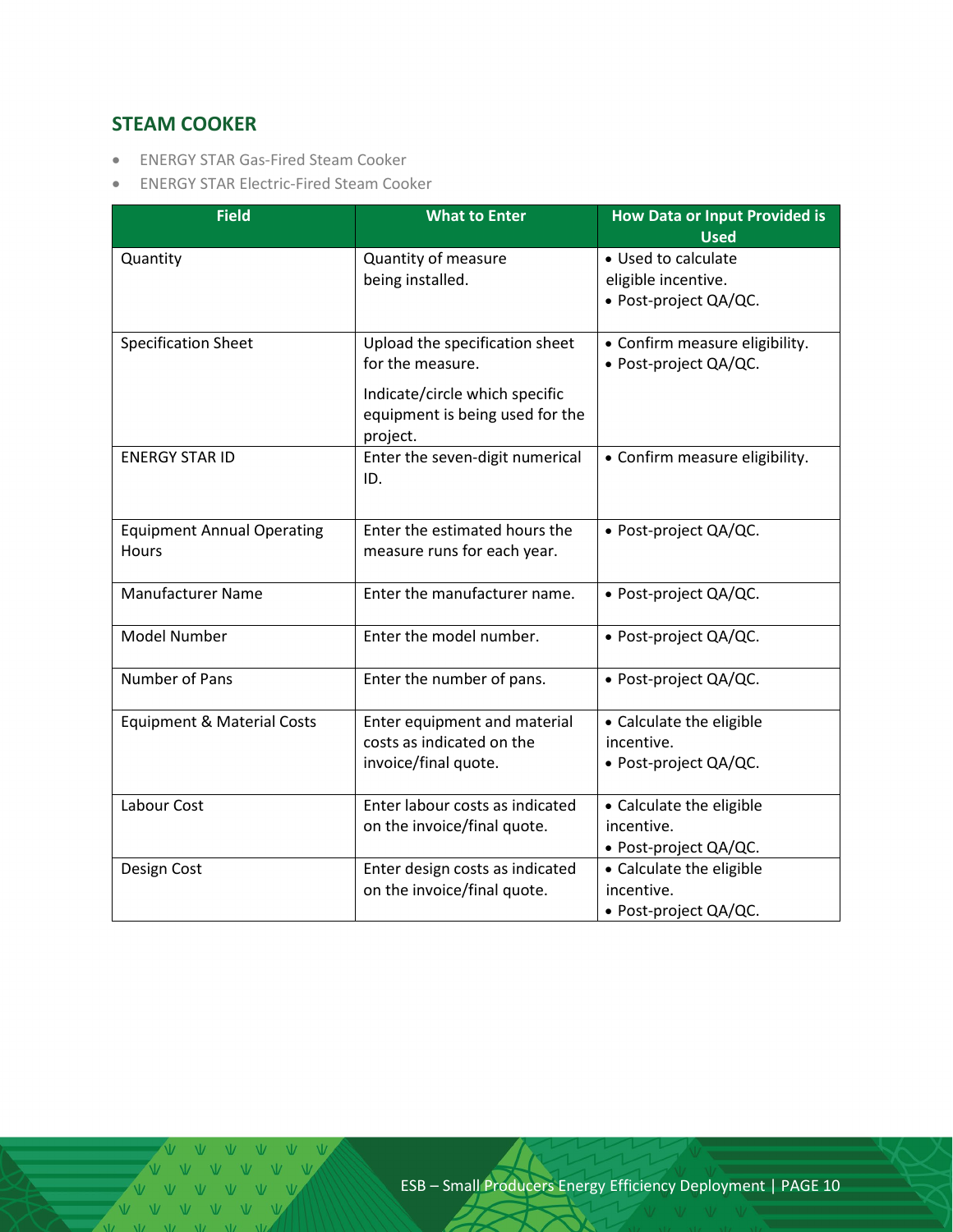## <span id="page-9-0"></span>**STEAM COOKER**

- ENERGY STAR Gas-Fired Steam Cooker
- ENERGY STAR Electric-Fired Steam Cooker

| <b>Field</b>                               | <b>What to Enter</b>                                                                                                                | <b>How Data or Input Provided is</b><br><b>Used</b>                 |
|--------------------------------------------|-------------------------------------------------------------------------------------------------------------------------------------|---------------------------------------------------------------------|
| Quantity                                   | Quantity of measure<br>being installed.                                                                                             | • Used to calculate<br>eligible incentive.<br>· Post-project QA/QC. |
| <b>Specification Sheet</b>                 | Upload the specification sheet<br>for the measure.<br>Indicate/circle which specific<br>equipment is being used for the<br>project. | • Confirm measure eligibility.<br>· Post-project QA/QC.             |
| <b>ENERGY STAR ID</b>                      | Enter the seven-digit numerical<br>ID.                                                                                              | • Confirm measure eligibility.                                      |
| <b>Equipment Annual Operating</b><br>Hours | Enter the estimated hours the<br>measure runs for each year.                                                                        | • Post-project QA/QC.                                               |
| <b>Manufacturer Name</b>                   | Enter the manufacturer name.                                                                                                        | • Post-project QA/QC.                                               |
| <b>Model Number</b>                        | Enter the model number.                                                                                                             | • Post-project QA/QC.                                               |
| Number of Pans                             | Enter the number of pans.                                                                                                           | · Post-project QA/QC.                                               |
| <b>Equipment &amp; Material Costs</b>      | Enter equipment and material<br>costs as indicated on the<br>invoice/final quote.                                                   | • Calculate the eligible<br>incentive.<br>• Post-project QA/QC.     |
| Labour Cost                                | Enter labour costs as indicated<br>on the invoice/final quote.                                                                      | • Calculate the eligible<br>incentive.<br>• Post-project QA/QC.     |
| Design Cost                                | Enter design costs as indicated<br>on the invoice/final quote.                                                                      | • Calculate the eligible<br>incentive.<br>· Post-project QA/QC.     |

V V V V V V V V V V V V V V V V V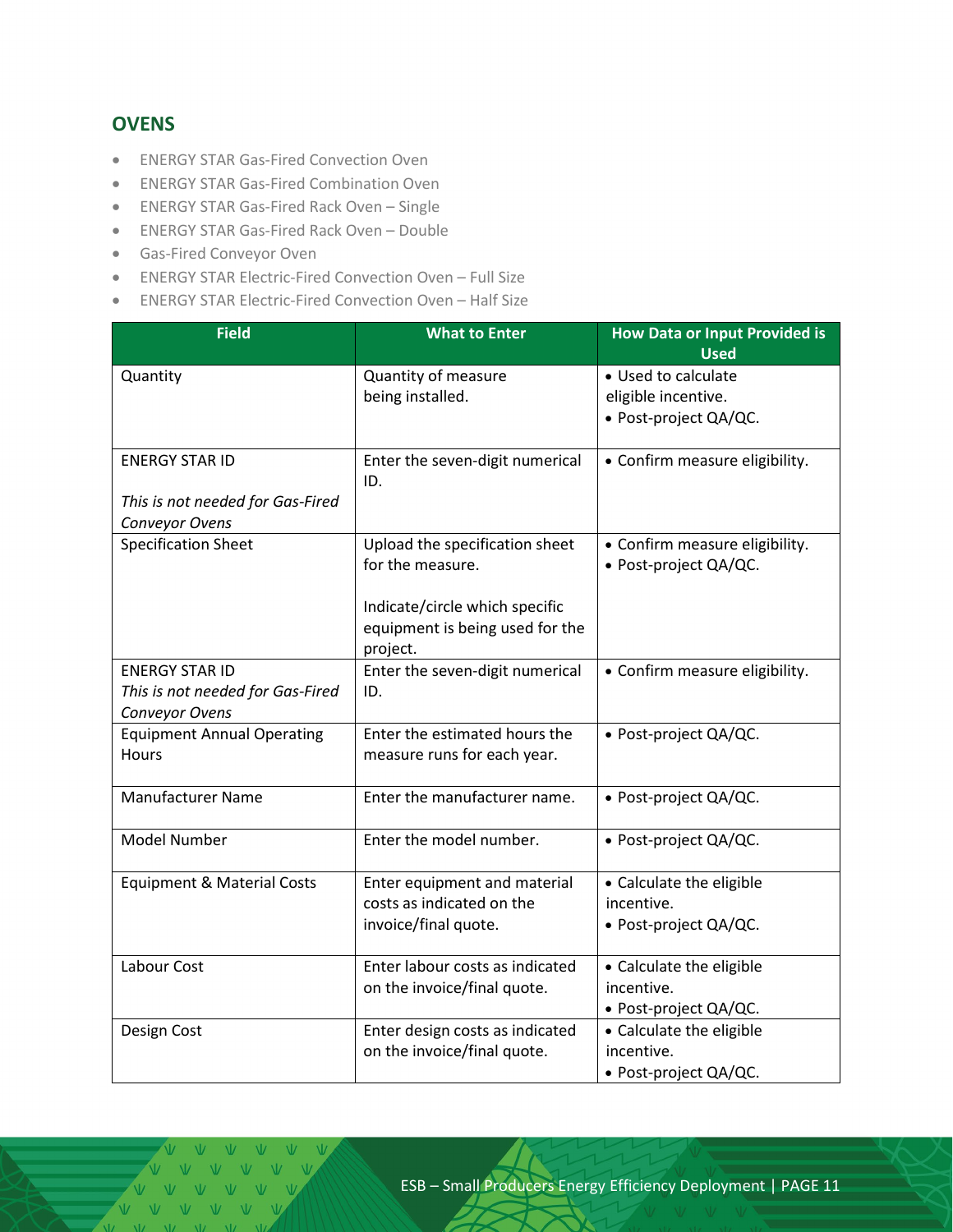#### <span id="page-10-0"></span>**OVENS**

- ENERGY STAR Gas-Fired Convection Oven
- ENERGY STAR Gas-Fired Combination Oven
- ENERGY STAR Gas-Fired Rack Oven Single
- ENERGY STAR Gas-Fired Rack Oven Double
- Gas-Fired Conveyor Oven
- ENERGY STAR Electric-Fired Convection Oven Full Size
- ENERGY STAR Electric-Fired Convection Oven Half Size

| <b>Field</b>                          | <b>What to Enter</b>                                           | <b>How Data or Input Provided is</b>   |  |
|---------------------------------------|----------------------------------------------------------------|----------------------------------------|--|
|                                       |                                                                | <b>Used</b>                            |  |
| Quantity                              | Quantity of measure                                            | • Used to calculate                    |  |
|                                       | being installed.                                               | eligible incentive.                    |  |
|                                       |                                                                | · Post-project QA/QC.                  |  |
| <b>ENERGY STAR ID</b>                 | Enter the seven-digit numerical                                | • Confirm measure eligibility.         |  |
|                                       | ID.                                                            |                                        |  |
| This is not needed for Gas-Fired      |                                                                |                                        |  |
| Conveyor Ovens                        |                                                                |                                        |  |
| <b>Specification Sheet</b>            | Upload the specification sheet                                 | • Confirm measure eligibility.         |  |
|                                       | for the measure.                                               | · Post-project QA/QC.                  |  |
|                                       |                                                                |                                        |  |
|                                       | Indicate/circle which specific                                 |                                        |  |
|                                       | equipment is being used for the<br>project.                    |                                        |  |
| <b>ENERGY STAR ID</b>                 | Enter the seven-digit numerical                                | • Confirm measure eligibility.         |  |
| This is not needed for Gas-Fired      | ID.                                                            |                                        |  |
| Conveyor Ovens                        |                                                                |                                        |  |
| <b>Equipment Annual Operating</b>     | Enter the estimated hours the                                  | · Post-project QA/QC.                  |  |
| <b>Hours</b>                          | measure runs for each year.                                    |                                        |  |
|                                       |                                                                |                                        |  |
| Manufacturer Name                     | Enter the manufacturer name.                                   | • Post-project QA/QC.                  |  |
|                                       |                                                                |                                        |  |
| Model Number                          | Enter the model number.                                        | • Post-project QA/QC.                  |  |
|                                       |                                                                |                                        |  |
| <b>Equipment &amp; Material Costs</b> | Enter equipment and material                                   | • Calculate the eligible               |  |
|                                       | costs as indicated on the                                      | incentive.                             |  |
|                                       | invoice/final quote.                                           | • Post-project QA/QC.                  |  |
|                                       |                                                                |                                        |  |
| Labour Cost                           | Enter labour costs as indicated                                | • Calculate the eligible               |  |
|                                       | on the invoice/final quote.                                    | incentive.                             |  |
|                                       |                                                                | · Post-project QA/QC.                  |  |
| Design Cost                           | Enter design costs as indicated<br>on the invoice/final quote. | • Calculate the eligible<br>incentive. |  |
|                                       |                                                                |                                        |  |
|                                       |                                                                | · Post-project QA/QC.                  |  |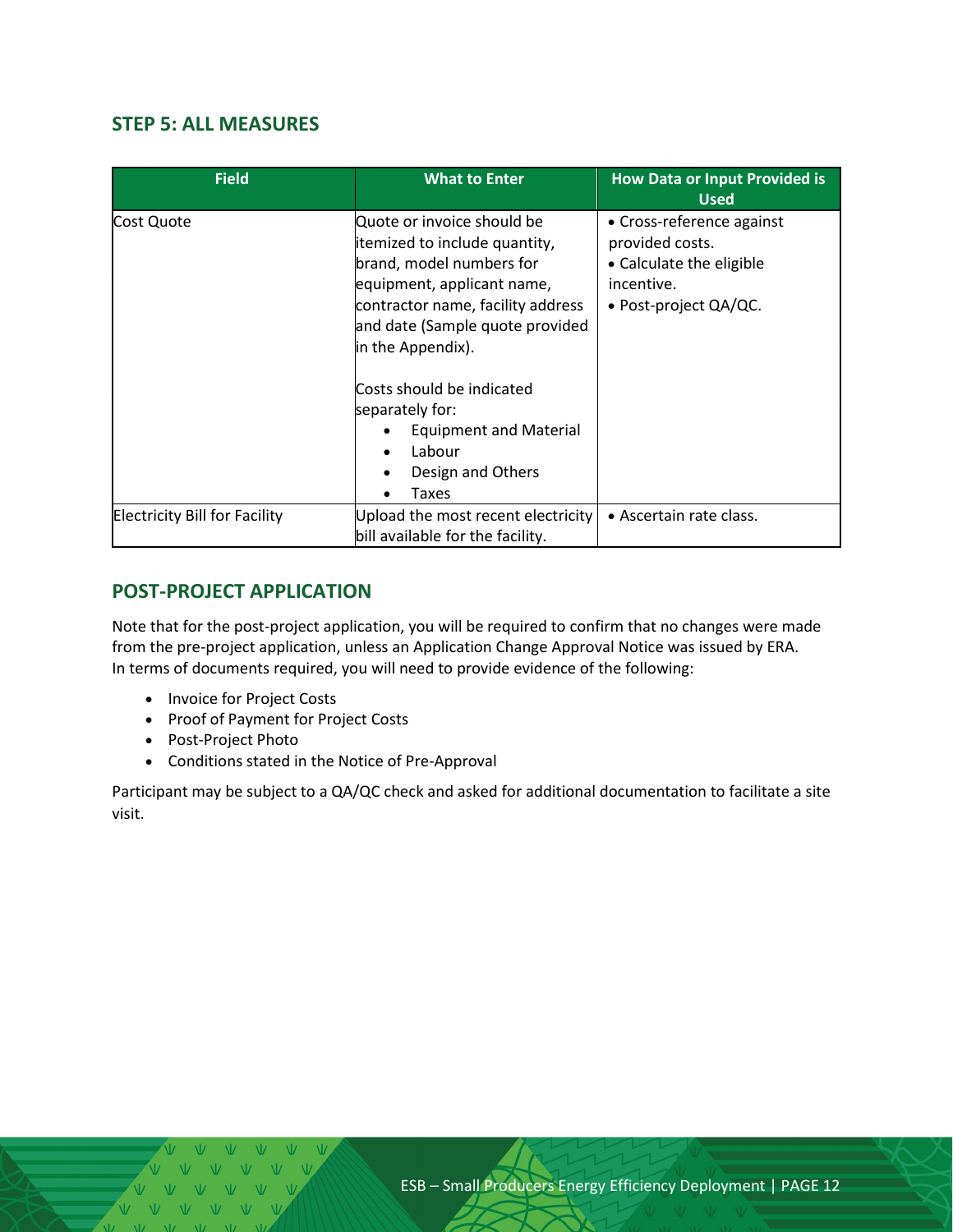#### <span id="page-11-0"></span>**STEP 5: ALL MEASURES**

| <b>Field</b>                         | <b>What to Enter</b>                                                                                                                                                                                                                                                                                          | <b>How Data or Input Provided is</b><br><b>Used</b>                                                                |
|--------------------------------------|---------------------------------------------------------------------------------------------------------------------------------------------------------------------------------------------------------------------------------------------------------------------------------------------------------------|--------------------------------------------------------------------------------------------------------------------|
| Cost Quote                           | Quote or invoice should be<br>itemized to include quantity,<br>brand, model numbers for<br>equipment, applicant name,<br>contractor name, facility address<br>and date (Sample quote provided<br>in the Appendix).<br>Costs should be indicated<br>separately for:<br><b>Equipment and Material</b><br>Labour | • Cross-reference against<br>provided costs.<br>• Calculate the eligible<br>incentive.<br>• Post-project $QA/QC$ . |
|                                      | Design and Others<br>Taxes                                                                                                                                                                                                                                                                                    |                                                                                                                    |
| <b>Electricity Bill for Facility</b> | Upload the most recent electricity<br>bill available for the facility.                                                                                                                                                                                                                                        | • Ascertain rate class.                                                                                            |

## <span id="page-11-1"></span>**POST-PROJECT APPLICATION**

Note that for the post-project application, you will be required to confirm that no changes were made from the pre-project application, unless an Application Change Approval Notice was issued by ERA. In terms of documents required, you will need to provide evidence of the following:

- Invoice for Project Costs
- Proof of Payment for Project Costs
- Post-Project Photo
- Conditions stated in the Notice of Pre-Approval

Participant may be subject to a QA/QC check and asked for additional documentation to facilitate a site visit.